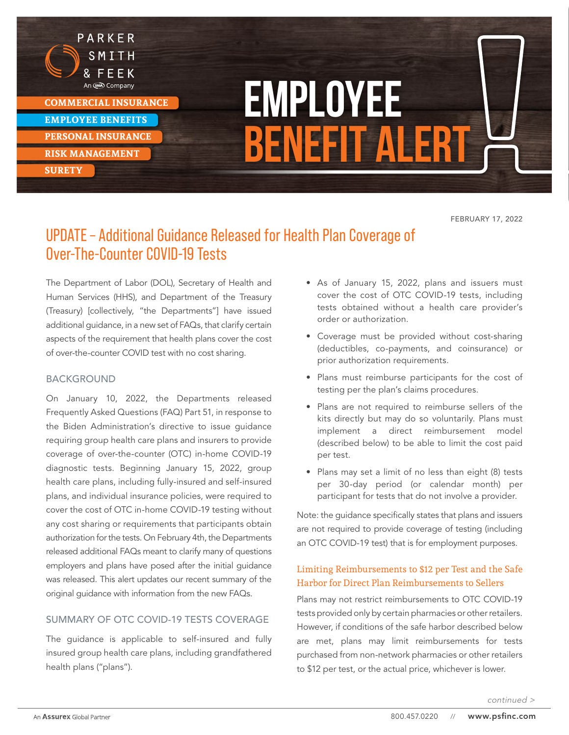

PARKER

**EMPLOYEE BENEFITS** 

**PERSONAL INSURANCE**

**RISK MANAGEMENT** 

**SURETY** 

# **Employee Benefit Alert**

FEBRUARY 17, 2022

# UPDATE – Additional Guidance Released for Health Plan Coverage of Over-The-Counter COVID-19 Tests

The Department of Labor (DOL), Secretary of Health and Human Services (HHS), and Department of the Treasury (Treasury) [collectively, "the Departments"] have issued additional guidance, in a new set of FAQs, that clarify certain aspects of the requirement that health plans cover the cost of over-the-counter COVID test with no cost sharing.

## BACKGROUND

On January 10, 2022, the Departments released Frequently Asked Questions (FAQ) Part 51, in response to the Biden Administration's directive to issue guidance requiring group health care plans and insurers to provide coverage of over-the-counter (OTC) in-home COVID-19 diagnostic tests. Beginning January 15, 2022, group health care plans, including fully-insured and self-insured plans, and individual insurance policies, were required to cover the cost of OTC in-home COVID-19 testing without any cost sharing or requirements that participants obtain authorization for the tests. On February 4th, the Departments released additional FAQs meant to clarify many of questions employers and plans have posed after the initial guidance was released. This alert updates our recent summary of the original guidance with information from the new FAQs.

## SUMMARY OF OTC COVID-19 TESTS COVERAGE

The guidance is applicable to self-insured and fully insured group health care plans, including grandfathered health plans ("plans").

- As of January 15, 2022, plans and issuers must cover the cost of OTC COVID-19 tests, including tests obtained without a health care provider's order or authorization.
- Coverage must be provided without cost-sharing (deductibles, co-payments, and coinsurance) or prior authorization requirements.
- Plans must reimburse participants for the cost of testing per the plan's claims procedures.
- Plans are not required to reimburse sellers of the kits directly but may do so voluntarily. Plans must implement a direct reimbursement model (described below) to be able to limit the cost paid per test.
- Plans may set a limit of no less than eight (8) tests per 30-day period (or calendar month) per participant for tests that do not involve a provider.

Note: the guidance specifically states that plans and issuers are not required to provide coverage of testing (including an OTC COVID-19 test) that is for employment purposes.

# Limiting Reimbursements to \$12 per Test and the Safe Harbor for Direct Plan Reimbursements to Sellers

Plans may not restrict reimbursements to OTC COVID-19 tests provided only by certain pharmacies or other retailers. However, if conditions of the safe harbor described below are met, plans may limit reimbursements for tests purchased from non-network pharmacies or other retailers to \$12 per test, or the actual price, whichever is lower.